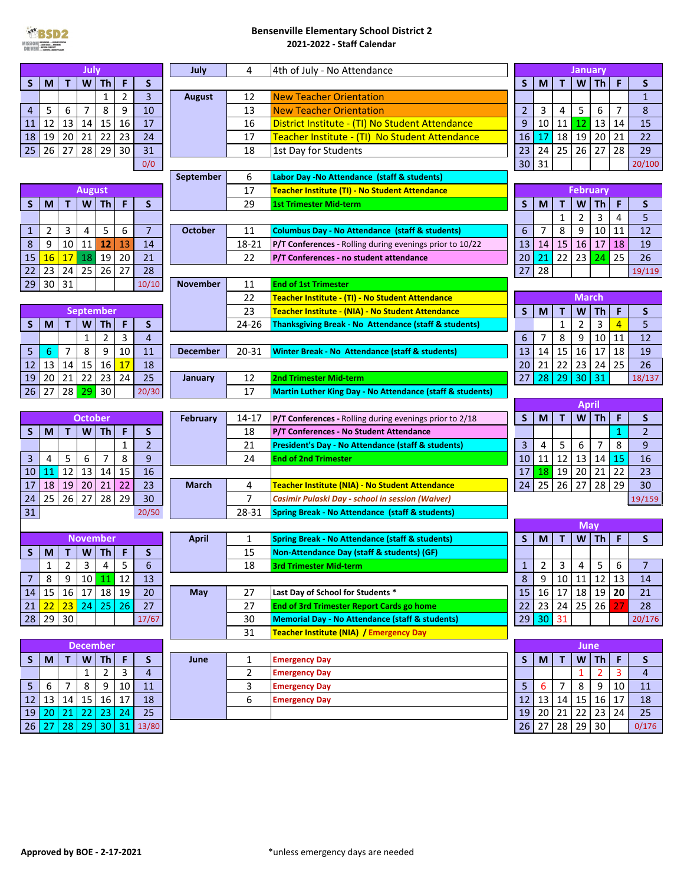

## **Bensenville Elementary School District 2 2021‐2022 ‐ Staff Calendar**

| W<br>T<br>Th <sub>1</sub><br>F<br>т<br><b>Th</b><br>F<br>S<br>S<br>W<br>S<br>S<br>M<br>M<br>$\overline{2}$<br>$\overline{\mathbf{3}}$<br>$\mathbf{1}$<br><b>New Teacher Orientation</b><br>12<br><b>August</b><br>$\mathbf{1}$<br>$\overline{7}$<br>8<br>9<br>7<br>5<br>10<br>13<br>$\overline{2}$<br>$\mathbf{3}$<br>4<br>5<br>6<br>8<br>6<br><b>New Teacher Orientation</b><br>4<br>12<br>13<br>14<br>15<br>16<br>9<br>13<br>17<br>16<br>10<br>11<br>12<br>14<br>District Institute - (TI) No Student Attendance<br>15<br>11<br>22<br>19<br>21<br>23<br>19<br>20<br>24<br>17<br>Teacher Institute - (TI) No Student Attendance<br>16<br>17<br>18<br>20<br>21<br>22<br>18<br>28<br>29<br>28<br>26<br>30<br>31<br>25<br>26<br>27<br>29<br>27<br>18<br>23<br>24<br>25<br>1st Day for Students<br>31<br>30<br>0/0<br>20/100<br>6<br><b>September</b><br>Labor Day - No Attendance (staff & students)<br>17<br><b>February</b><br><b>August</b><br>Teacher Institute (TI) - No Student Attendance<br>F<br>29<br>S<br><b>Th</b><br>S<br>T.<br>W<br><b>Th</b><br>S<br>T<br>W<br>F<br>M<br>M<br>S<br><b>1st Trimester Mid-term</b><br>3<br>$\overline{2}$<br>$\overline{4}$<br>$\mathbf{1}$<br>5<br>5<br>$\overline{7}$<br>8<br>9<br>$\overline{2}$<br>3<br>4<br>6<br>7<br>10<br>12<br>11<br>11<br>1<br><b>October</b><br><b>Columbus Day - No Attendance (staff &amp; students)</b><br>6<br>9<br>12<br>16<br>18<br>8<br>10<br>11<br>13<br>14<br>15<br>17<br>19<br>14<br>18-21<br>13<br><b>P/T Conferences</b> - Rolling during evenings prior to 10/22<br>23<br>25<br>16<br>18 19<br>20<br>21<br>22<br>17<br>22<br>21<br>26<br>15<br>20<br>24<br>P/T Conferences - no student attendance<br>23<br>25<br>26<br>27<br>28<br>28<br>22<br>27<br>24<br>19/119<br>30<br>31<br>29<br>10/10<br><b>November</b><br>11<br><b>End of 1st Trimester</b><br>22<br><b>March</b><br><b>Teacher Institute - (TI) - No Student Attendance</b><br>23<br>S<br>$\mathbf T$<br><b>Th</b><br>F<br>M<br>W<br>S<br><b>September</b><br>Teacher Institute - (NIA) - No Student Attendance<br>3<br>F<br>S<br><b>Th</b><br>S<br>24-26<br>$\overline{2}$<br>4<br>5<br>M<br>W<br>$\mathbf{1}$<br>Τ<br>Thanksgiving Break - No Attendance (staff & students)<br>$\overline{2}$<br>$\overline{3}$<br>$\overline{7}$<br>8<br>9<br>$\overline{4}$<br>10<br>12<br>1<br>6<br>11<br>9<br>8<br>15<br>16<br>18<br>5<br>$\overline{7}$<br>10<br>20-31<br>13<br>14<br>17<br>19<br>11<br>6<br><b>December</b><br><b>Winter Break - No Attendance (staff &amp; students)</b><br>15<br>16<br>21<br>22<br>23<br>25<br>12<br>14<br>17<br>24<br>26<br>13<br>18<br>20<br>22<br>25<br>23<br>24<br>28<br>29<br>30<br>20<br>21<br>27<br>19<br>12<br>31<br>18/137<br><b>2nd Trimester Mid-term</b><br>January<br>$28 \,   \, 29 \,   \, 30$<br>27<br>17<br>26<br>20/30<br><b>Martin Luther King Day - No Attendance (staff &amp; students)</b><br>April<br><b>Th</b><br>F<br>S<br>$\mathbf T$<br>W<br><b>October</b><br>S<br><b>February</b><br>14-17<br>M<br><b>P/T Conferences</b> - Rolling during evenings prior to 2/18<br>F<br>S<br>T.<br>W<br><b>Th</b><br>S<br>$\mathbf{1}$<br>$\overline{2}$<br>M<br>18<br>P/T Conferences - No Student Attendance<br>$\overline{2}$<br>3<br>5<br>$\overline{7}$<br>8<br>9<br>21<br>6<br>1<br>4<br><b>President's Day - No Attendance (staff &amp; students)</b><br>$\overline{7}$<br>8<br>$9\,$<br>12<br>3<br>5<br>6<br>24<br>11<br>13<br>14<br>15<br>16<br>4<br>10<br><b>End of 2nd Trimester</b><br>12<br>21<br>22<br>13<br>14<br>15<br>18<br>19<br>20<br>23<br>16<br>17<br>10<br>11<br>29<br>18<br>19<br>20<br>21<br>22<br>23<br>25<br>26<br>27<br>28<br>30<br>17<br>4<br>24<br>March<br><b>Teacher Institute (NIA) - No Student Attendance</b><br>27<br>29<br>25<br>26<br>28<br>30<br>$\overline{7}$<br>24<br>Casimir Pulaski Day - school in session (Waiver)<br>19/159<br>31<br>28-31<br>20/50<br><b>Spring Break - No Attendance (staff &amp; students)</b><br>May<br>Th<br>S<br>$\mathbf{T}$<br>W<br>F<br>S<br><b>November</b><br><b>April</b><br>1<br><b>Spring Break - No Attendance (staff &amp; students)</b><br>M<br>S<br>W<br>F<br>M<br>T.<br><b>Th</b><br>S<br>15<br>Non-Attendance Day (staff & students) (GF)<br>$\overline{\overline{\overline{5}}}$<br>$\overline{2}$<br>$\overline{3}$<br>$\overline{4}$<br>$\mathbf 1$<br>$6\overline{6}$<br>$\overline{2}$<br>$\mathbf{3}$<br>$\mathbf{1}$<br>5 <sup>1</sup><br>6<br>18<br>$\overline{\mathbf{4}}$<br>$\overline{7}$<br><b>3rd Trimester Mid-term Article Strategies</b><br>8<br>12<br>$\bf 8$<br>$12$   13<br>9<br>9<br>11<br>$\overline{7}$<br>10 <sup>1</sup><br>11<br>13<br>10<br>14<br>16<br>$19$ 20<br>15<br>16 17 18 19<br>15 <sup>1</sup><br>17<br>18<br>20<br>27<br>14<br>May<br>Last Day of School for Students *<br>21<br>25<br>26<br>24<br>$25 \mid 26$<br>27<br>23 24<br>27<br>22<br>23<br>27<br>28<br><b>End of 3rd Trimester Report Cards go home</b><br>22<br>21<br>29<br>30<br>29<br>30<br>31<br>30<br>28<br>17/67<br><b>Memorial Day - No Attendance (staff &amp; students)</b><br>20/176<br>31<br><b>Teacher Institute (NIA) / Emergency Day</b><br><b>December</b><br>June<br>$\boldsymbol{\mathsf{W}}$<br>$Th$ F<br>Th<br>F<br>S<br>$\mathbf{T}$<br>S<br>$\mathbf{1}$<br>S<br>W<br>S<br>M<br>т<br>June<br><b>Emergency Day</b><br>M<br>$\mathbf{3}$<br>$\overline{2}$<br>$\overline{2}$<br>3<br>$\overline{4}$<br>$\overline{2}$<br>1<br>4<br><b>Emergency Day</b><br>1<br>8<br>9<br>10<br>3<br>$\overline{7}$<br>8<br>9<br>$10\,$<br>5 <sup>1</sup><br>6<br>5<br>6<br>7<br>11<br>11<br><b>Emergency Day</b><br>15<br>16<br>13<br>15<br>16<br>$17\,$<br>12<br>13<br>14<br>17<br>6<br>12<br>14<br>18<br>18<br><b>Emergency Day</b><br>22<br>22<br>23 24<br>25<br>20 21 <br>23 24<br>19<br>20 <sub>2</sub><br>21<br>19<br>25<br>26<br>27 28 29 30<br>28<br>29 30 31 13/80<br>26<br>27 | July |  |  |  |  | July | 4<br>4th of July - No Attendance |  |  | January |  |  |  |  |       |
|------------------------------------------------------------------------------------------------------------------------------------------------------------------------------------------------------------------------------------------------------------------------------------------------------------------------------------------------------------------------------------------------------------------------------------------------------------------------------------------------------------------------------------------------------------------------------------------------------------------------------------------------------------------------------------------------------------------------------------------------------------------------------------------------------------------------------------------------------------------------------------------------------------------------------------------------------------------------------------------------------------------------------------------------------------------------------------------------------------------------------------------------------------------------------------------------------------------------------------------------------------------------------------------------------------------------------------------------------------------------------------------------------------------------------------------------------------------------------------------------------------------------------------------------------------------------------------------------------------------------------------------------------------------------------------------------------------------------------------------------------------------------------------------------------------------------------------------------------------------------------------------------------------------------------------------------------------------------------------------------------------------------------------------------------------------------------------------------------------------------------------------------------------------------------------------------------------------------------------------------------------------------------------------------------------------------------------------------------------------------------------------------------------------------------------------------------------------------------------------------------------------------------------------------------------------------------------------------------------------------------------------------------------------------------------------------------------------------------------------------------------------------------------------------------------------------------------------------------------------------------------------------------------------------------------------------------------------------------------------------------------------------------------------------------------------------------------------------------------------------------------------------------------------------------------------------------------------------------------------------------------------------------------------------------------------------------------------------------------------------------------------------------------------------------------------------------------------------------------------------------------------------------------------------------------------------------------------------------------------------------------------------------------------------------------------------------------------------------------------------------------------------------------------------------------------------------------------------------------------------------------------------------------------------------------------------------------------------------------------------------------------------------------------------------------------------------------------------------------------------------------------------------------------------------------------------------------------------------------------------------------------------------------------------------------------------------------------------------------------------------------------------------------------------------------------------------------------------------------------------------------------------------------------------------------------------------------------------------------------------------------------------------------------------------------------------------------------------------------------------------------------------------------------------------------------------------------------------------------------------------------------------------------------------------------------------------------------------------------------------------------------------------------------------------------------------------------------------------------------------------------------------------------------------------------------------------------------------------------------------------------------------------------------------------------------------------------------------------------------------------------------------------------------------------------------------------------------------------------------------------------------------------------------------------------------------------------------------------------------------------------------------------------------------------------------------------------------------------------------------------------------------------------------------------------------------------------------------------------------|------|--|--|--|--|------|----------------------------------|--|--|---------|--|--|--|--|-------|
|                                                                                                                                                                                                                                                                                                                                                                                                                                                                                                                                                                                                                                                                                                                                                                                                                                                                                                                                                                                                                                                                                                                                                                                                                                                                                                                                                                                                                                                                                                                                                                                                                                                                                                                                                                                                                                                                                                                                                                                                                                                                                                                                                                                                                                                                                                                                                                                                                                                                                                                                                                                                                                                                                                                                                                                                                                                                                                                                                                                                                                                                                                                                                                                                                                                                                                                                                                                                                                                                                                                                                                                                                                                                                                                                                                                                                                                                                                                                                                                                                                                                                                                                                                                                                                                                                                                                                                                                                                                                                                                                                                                                                                                                                                                                                                                                                                                                                                                                                                                                                                                                                                                                                                                                                                                                                                                                                                                                                                                                                                                                                                                                                                                                                                                                                                                                                                                                  |      |  |  |  |  |      |                                  |  |  |         |  |  |  |  |       |
|                                                                                                                                                                                                                                                                                                                                                                                                                                                                                                                                                                                                                                                                                                                                                                                                                                                                                                                                                                                                                                                                                                                                                                                                                                                                                                                                                                                                                                                                                                                                                                                                                                                                                                                                                                                                                                                                                                                                                                                                                                                                                                                                                                                                                                                                                                                                                                                                                                                                                                                                                                                                                                                                                                                                                                                                                                                                                                                                                                                                                                                                                                                                                                                                                                                                                                                                                                                                                                                                                                                                                                                                                                                                                                                                                                                                                                                                                                                                                                                                                                                                                                                                                                                                                                                                                                                                                                                                                                                                                                                                                                                                                                                                                                                                                                                                                                                                                                                                                                                                                                                                                                                                                                                                                                                                                                                                                                                                                                                                                                                                                                                                                                                                                                                                                                                                                                                                  |      |  |  |  |  |      |                                  |  |  |         |  |  |  |  |       |
|                                                                                                                                                                                                                                                                                                                                                                                                                                                                                                                                                                                                                                                                                                                                                                                                                                                                                                                                                                                                                                                                                                                                                                                                                                                                                                                                                                                                                                                                                                                                                                                                                                                                                                                                                                                                                                                                                                                                                                                                                                                                                                                                                                                                                                                                                                                                                                                                                                                                                                                                                                                                                                                                                                                                                                                                                                                                                                                                                                                                                                                                                                                                                                                                                                                                                                                                                                                                                                                                                                                                                                                                                                                                                                                                                                                                                                                                                                                                                                                                                                                                                                                                                                                                                                                                                                                                                                                                                                                                                                                                                                                                                                                                                                                                                                                                                                                                                                                                                                                                                                                                                                                                                                                                                                                                                                                                                                                                                                                                                                                                                                                                                                                                                                                                                                                                                                                                  |      |  |  |  |  |      |                                  |  |  |         |  |  |  |  |       |
|                                                                                                                                                                                                                                                                                                                                                                                                                                                                                                                                                                                                                                                                                                                                                                                                                                                                                                                                                                                                                                                                                                                                                                                                                                                                                                                                                                                                                                                                                                                                                                                                                                                                                                                                                                                                                                                                                                                                                                                                                                                                                                                                                                                                                                                                                                                                                                                                                                                                                                                                                                                                                                                                                                                                                                                                                                                                                                                                                                                                                                                                                                                                                                                                                                                                                                                                                                                                                                                                                                                                                                                                                                                                                                                                                                                                                                                                                                                                                                                                                                                                                                                                                                                                                                                                                                                                                                                                                                                                                                                                                                                                                                                                                                                                                                                                                                                                                                                                                                                                                                                                                                                                                                                                                                                                                                                                                                                                                                                                                                                                                                                                                                                                                                                                                                                                                                                                  |      |  |  |  |  |      |                                  |  |  |         |  |  |  |  |       |
|                                                                                                                                                                                                                                                                                                                                                                                                                                                                                                                                                                                                                                                                                                                                                                                                                                                                                                                                                                                                                                                                                                                                                                                                                                                                                                                                                                                                                                                                                                                                                                                                                                                                                                                                                                                                                                                                                                                                                                                                                                                                                                                                                                                                                                                                                                                                                                                                                                                                                                                                                                                                                                                                                                                                                                                                                                                                                                                                                                                                                                                                                                                                                                                                                                                                                                                                                                                                                                                                                                                                                                                                                                                                                                                                                                                                                                                                                                                                                                                                                                                                                                                                                                                                                                                                                                                                                                                                                                                                                                                                                                                                                                                                                                                                                                                                                                                                                                                                                                                                                                                                                                                                                                                                                                                                                                                                                                                                                                                                                                                                                                                                                                                                                                                                                                                                                                                                  |      |  |  |  |  |      |                                  |  |  |         |  |  |  |  |       |
|                                                                                                                                                                                                                                                                                                                                                                                                                                                                                                                                                                                                                                                                                                                                                                                                                                                                                                                                                                                                                                                                                                                                                                                                                                                                                                                                                                                                                                                                                                                                                                                                                                                                                                                                                                                                                                                                                                                                                                                                                                                                                                                                                                                                                                                                                                                                                                                                                                                                                                                                                                                                                                                                                                                                                                                                                                                                                                                                                                                                                                                                                                                                                                                                                                                                                                                                                                                                                                                                                                                                                                                                                                                                                                                                                                                                                                                                                                                                                                                                                                                                                                                                                                                                                                                                                                                                                                                                                                                                                                                                                                                                                                                                                                                                                                                                                                                                                                                                                                                                                                                                                                                                                                                                                                                                                                                                                                                                                                                                                                                                                                                                                                                                                                                                                                                                                                                                  |      |  |  |  |  |      |                                  |  |  |         |  |  |  |  |       |
|                                                                                                                                                                                                                                                                                                                                                                                                                                                                                                                                                                                                                                                                                                                                                                                                                                                                                                                                                                                                                                                                                                                                                                                                                                                                                                                                                                                                                                                                                                                                                                                                                                                                                                                                                                                                                                                                                                                                                                                                                                                                                                                                                                                                                                                                                                                                                                                                                                                                                                                                                                                                                                                                                                                                                                                                                                                                                                                                                                                                                                                                                                                                                                                                                                                                                                                                                                                                                                                                                                                                                                                                                                                                                                                                                                                                                                                                                                                                                                                                                                                                                                                                                                                                                                                                                                                                                                                                                                                                                                                                                                                                                                                                                                                                                                                                                                                                                                                                                                                                                                                                                                                                                                                                                                                                                                                                                                                                                                                                                                                                                                                                                                                                                                                                                                                                                                                                  |      |  |  |  |  |      |                                  |  |  |         |  |  |  |  |       |
|                                                                                                                                                                                                                                                                                                                                                                                                                                                                                                                                                                                                                                                                                                                                                                                                                                                                                                                                                                                                                                                                                                                                                                                                                                                                                                                                                                                                                                                                                                                                                                                                                                                                                                                                                                                                                                                                                                                                                                                                                                                                                                                                                                                                                                                                                                                                                                                                                                                                                                                                                                                                                                                                                                                                                                                                                                                                                                                                                                                                                                                                                                                                                                                                                                                                                                                                                                                                                                                                                                                                                                                                                                                                                                                                                                                                                                                                                                                                                                                                                                                                                                                                                                                                                                                                                                                                                                                                                                                                                                                                                                                                                                                                                                                                                                                                                                                                                                                                                                                                                                                                                                                                                                                                                                                                                                                                                                                                                                                                                                                                                                                                                                                                                                                                                                                                                                                                  |      |  |  |  |  |      |                                  |  |  |         |  |  |  |  |       |
|                                                                                                                                                                                                                                                                                                                                                                                                                                                                                                                                                                                                                                                                                                                                                                                                                                                                                                                                                                                                                                                                                                                                                                                                                                                                                                                                                                                                                                                                                                                                                                                                                                                                                                                                                                                                                                                                                                                                                                                                                                                                                                                                                                                                                                                                                                                                                                                                                                                                                                                                                                                                                                                                                                                                                                                                                                                                                                                                                                                                                                                                                                                                                                                                                                                                                                                                                                                                                                                                                                                                                                                                                                                                                                                                                                                                                                                                                                                                                                                                                                                                                                                                                                                                                                                                                                                                                                                                                                                                                                                                                                                                                                                                                                                                                                                                                                                                                                                                                                                                                                                                                                                                                                                                                                                                                                                                                                                                                                                                                                                                                                                                                                                                                                                                                                                                                                                                  |      |  |  |  |  |      |                                  |  |  |         |  |  |  |  |       |
|                                                                                                                                                                                                                                                                                                                                                                                                                                                                                                                                                                                                                                                                                                                                                                                                                                                                                                                                                                                                                                                                                                                                                                                                                                                                                                                                                                                                                                                                                                                                                                                                                                                                                                                                                                                                                                                                                                                                                                                                                                                                                                                                                                                                                                                                                                                                                                                                                                                                                                                                                                                                                                                                                                                                                                                                                                                                                                                                                                                                                                                                                                                                                                                                                                                                                                                                                                                                                                                                                                                                                                                                                                                                                                                                                                                                                                                                                                                                                                                                                                                                                                                                                                                                                                                                                                                                                                                                                                                                                                                                                                                                                                                                                                                                                                                                                                                                                                                                                                                                                                                                                                                                                                                                                                                                                                                                                                                                                                                                                                                                                                                                                                                                                                                                                                                                                                                                  |      |  |  |  |  |      |                                  |  |  |         |  |  |  |  |       |
|                                                                                                                                                                                                                                                                                                                                                                                                                                                                                                                                                                                                                                                                                                                                                                                                                                                                                                                                                                                                                                                                                                                                                                                                                                                                                                                                                                                                                                                                                                                                                                                                                                                                                                                                                                                                                                                                                                                                                                                                                                                                                                                                                                                                                                                                                                                                                                                                                                                                                                                                                                                                                                                                                                                                                                                                                                                                                                                                                                                                                                                                                                                                                                                                                                                                                                                                                                                                                                                                                                                                                                                                                                                                                                                                                                                                                                                                                                                                                                                                                                                                                                                                                                                                                                                                                                                                                                                                                                                                                                                                                                                                                                                                                                                                                                                                                                                                                                                                                                                                                                                                                                                                                                                                                                                                                                                                                                                                                                                                                                                                                                                                                                                                                                                                                                                                                                                                  |      |  |  |  |  |      |                                  |  |  |         |  |  |  |  |       |
|                                                                                                                                                                                                                                                                                                                                                                                                                                                                                                                                                                                                                                                                                                                                                                                                                                                                                                                                                                                                                                                                                                                                                                                                                                                                                                                                                                                                                                                                                                                                                                                                                                                                                                                                                                                                                                                                                                                                                                                                                                                                                                                                                                                                                                                                                                                                                                                                                                                                                                                                                                                                                                                                                                                                                                                                                                                                                                                                                                                                                                                                                                                                                                                                                                                                                                                                                                                                                                                                                                                                                                                                                                                                                                                                                                                                                                                                                                                                                                                                                                                                                                                                                                                                                                                                                                                                                                                                                                                                                                                                                                                                                                                                                                                                                                                                                                                                                                                                                                                                                                                                                                                                                                                                                                                                                                                                                                                                                                                                                                                                                                                                                                                                                                                                                                                                                                                                  |      |  |  |  |  |      |                                  |  |  |         |  |  |  |  |       |
|                                                                                                                                                                                                                                                                                                                                                                                                                                                                                                                                                                                                                                                                                                                                                                                                                                                                                                                                                                                                                                                                                                                                                                                                                                                                                                                                                                                                                                                                                                                                                                                                                                                                                                                                                                                                                                                                                                                                                                                                                                                                                                                                                                                                                                                                                                                                                                                                                                                                                                                                                                                                                                                                                                                                                                                                                                                                                                                                                                                                                                                                                                                                                                                                                                                                                                                                                                                                                                                                                                                                                                                                                                                                                                                                                                                                                                                                                                                                                                                                                                                                                                                                                                                                                                                                                                                                                                                                                                                                                                                                                                                                                                                                                                                                                                                                                                                                                                                                                                                                                                                                                                                                                                                                                                                                                                                                                                                                                                                                                                                                                                                                                                                                                                                                                                                                                                                                  |      |  |  |  |  |      |                                  |  |  |         |  |  |  |  |       |
|                                                                                                                                                                                                                                                                                                                                                                                                                                                                                                                                                                                                                                                                                                                                                                                                                                                                                                                                                                                                                                                                                                                                                                                                                                                                                                                                                                                                                                                                                                                                                                                                                                                                                                                                                                                                                                                                                                                                                                                                                                                                                                                                                                                                                                                                                                                                                                                                                                                                                                                                                                                                                                                                                                                                                                                                                                                                                                                                                                                                                                                                                                                                                                                                                                                                                                                                                                                                                                                                                                                                                                                                                                                                                                                                                                                                                                                                                                                                                                                                                                                                                                                                                                                                                                                                                                                                                                                                                                                                                                                                                                                                                                                                                                                                                                                                                                                                                                                                                                                                                                                                                                                                                                                                                                                                                                                                                                                                                                                                                                                                                                                                                                                                                                                                                                                                                                                                  |      |  |  |  |  |      |                                  |  |  |         |  |  |  |  |       |
|                                                                                                                                                                                                                                                                                                                                                                                                                                                                                                                                                                                                                                                                                                                                                                                                                                                                                                                                                                                                                                                                                                                                                                                                                                                                                                                                                                                                                                                                                                                                                                                                                                                                                                                                                                                                                                                                                                                                                                                                                                                                                                                                                                                                                                                                                                                                                                                                                                                                                                                                                                                                                                                                                                                                                                                                                                                                                                                                                                                                                                                                                                                                                                                                                                                                                                                                                                                                                                                                                                                                                                                                                                                                                                                                                                                                                                                                                                                                                                                                                                                                                                                                                                                                                                                                                                                                                                                                                                                                                                                                                                                                                                                                                                                                                                                                                                                                                                                                                                                                                                                                                                                                                                                                                                                                                                                                                                                                                                                                                                                                                                                                                                                                                                                                                                                                                                                                  |      |  |  |  |  |      |                                  |  |  |         |  |  |  |  |       |
|                                                                                                                                                                                                                                                                                                                                                                                                                                                                                                                                                                                                                                                                                                                                                                                                                                                                                                                                                                                                                                                                                                                                                                                                                                                                                                                                                                                                                                                                                                                                                                                                                                                                                                                                                                                                                                                                                                                                                                                                                                                                                                                                                                                                                                                                                                                                                                                                                                                                                                                                                                                                                                                                                                                                                                                                                                                                                                                                                                                                                                                                                                                                                                                                                                                                                                                                                                                                                                                                                                                                                                                                                                                                                                                                                                                                                                                                                                                                                                                                                                                                                                                                                                                                                                                                                                                                                                                                                                                                                                                                                                                                                                                                                                                                                                                                                                                                                                                                                                                                                                                                                                                                                                                                                                                                                                                                                                                                                                                                                                                                                                                                                                                                                                                                                                                                                                                                  |      |  |  |  |  |      |                                  |  |  |         |  |  |  |  |       |
|                                                                                                                                                                                                                                                                                                                                                                                                                                                                                                                                                                                                                                                                                                                                                                                                                                                                                                                                                                                                                                                                                                                                                                                                                                                                                                                                                                                                                                                                                                                                                                                                                                                                                                                                                                                                                                                                                                                                                                                                                                                                                                                                                                                                                                                                                                                                                                                                                                                                                                                                                                                                                                                                                                                                                                                                                                                                                                                                                                                                                                                                                                                                                                                                                                                                                                                                                                                                                                                                                                                                                                                                                                                                                                                                                                                                                                                                                                                                                                                                                                                                                                                                                                                                                                                                                                                                                                                                                                                                                                                                                                                                                                                                                                                                                                                                                                                                                                                                                                                                                                                                                                                                                                                                                                                                                                                                                                                                                                                                                                                                                                                                                                                                                                                                                                                                                                                                  |      |  |  |  |  |      |                                  |  |  |         |  |  |  |  |       |
|                                                                                                                                                                                                                                                                                                                                                                                                                                                                                                                                                                                                                                                                                                                                                                                                                                                                                                                                                                                                                                                                                                                                                                                                                                                                                                                                                                                                                                                                                                                                                                                                                                                                                                                                                                                                                                                                                                                                                                                                                                                                                                                                                                                                                                                                                                                                                                                                                                                                                                                                                                                                                                                                                                                                                                                                                                                                                                                                                                                                                                                                                                                                                                                                                                                                                                                                                                                                                                                                                                                                                                                                                                                                                                                                                                                                                                                                                                                                                                                                                                                                                                                                                                                                                                                                                                                                                                                                                                                                                                                                                                                                                                                                                                                                                                                                                                                                                                                                                                                                                                                                                                                                                                                                                                                                                                                                                                                                                                                                                                                                                                                                                                                                                                                                                                                                                                                                  |      |  |  |  |  |      |                                  |  |  |         |  |  |  |  |       |
|                                                                                                                                                                                                                                                                                                                                                                                                                                                                                                                                                                                                                                                                                                                                                                                                                                                                                                                                                                                                                                                                                                                                                                                                                                                                                                                                                                                                                                                                                                                                                                                                                                                                                                                                                                                                                                                                                                                                                                                                                                                                                                                                                                                                                                                                                                                                                                                                                                                                                                                                                                                                                                                                                                                                                                                                                                                                                                                                                                                                                                                                                                                                                                                                                                                                                                                                                                                                                                                                                                                                                                                                                                                                                                                                                                                                                                                                                                                                                                                                                                                                                                                                                                                                                                                                                                                                                                                                                                                                                                                                                                                                                                                                                                                                                                                                                                                                                                                                                                                                                                                                                                                                                                                                                                                                                                                                                                                                                                                                                                                                                                                                                                                                                                                                                                                                                                                                  |      |  |  |  |  |      |                                  |  |  |         |  |  |  |  |       |
|                                                                                                                                                                                                                                                                                                                                                                                                                                                                                                                                                                                                                                                                                                                                                                                                                                                                                                                                                                                                                                                                                                                                                                                                                                                                                                                                                                                                                                                                                                                                                                                                                                                                                                                                                                                                                                                                                                                                                                                                                                                                                                                                                                                                                                                                                                                                                                                                                                                                                                                                                                                                                                                                                                                                                                                                                                                                                                                                                                                                                                                                                                                                                                                                                                                                                                                                                                                                                                                                                                                                                                                                                                                                                                                                                                                                                                                                                                                                                                                                                                                                                                                                                                                                                                                                                                                                                                                                                                                                                                                                                                                                                                                                                                                                                                                                                                                                                                                                                                                                                                                                                                                                                                                                                                                                                                                                                                                                                                                                                                                                                                                                                                                                                                                                                                                                                                                                  |      |  |  |  |  |      |                                  |  |  |         |  |  |  |  |       |
|                                                                                                                                                                                                                                                                                                                                                                                                                                                                                                                                                                                                                                                                                                                                                                                                                                                                                                                                                                                                                                                                                                                                                                                                                                                                                                                                                                                                                                                                                                                                                                                                                                                                                                                                                                                                                                                                                                                                                                                                                                                                                                                                                                                                                                                                                                                                                                                                                                                                                                                                                                                                                                                                                                                                                                                                                                                                                                                                                                                                                                                                                                                                                                                                                                                                                                                                                                                                                                                                                                                                                                                                                                                                                                                                                                                                                                                                                                                                                                                                                                                                                                                                                                                                                                                                                                                                                                                                                                                                                                                                                                                                                                                                                                                                                                                                                                                                                                                                                                                                                                                                                                                                                                                                                                                                                                                                                                                                                                                                                                                                                                                                                                                                                                                                                                                                                                                                  |      |  |  |  |  |      |                                  |  |  |         |  |  |  |  |       |
|                                                                                                                                                                                                                                                                                                                                                                                                                                                                                                                                                                                                                                                                                                                                                                                                                                                                                                                                                                                                                                                                                                                                                                                                                                                                                                                                                                                                                                                                                                                                                                                                                                                                                                                                                                                                                                                                                                                                                                                                                                                                                                                                                                                                                                                                                                                                                                                                                                                                                                                                                                                                                                                                                                                                                                                                                                                                                                                                                                                                                                                                                                                                                                                                                                                                                                                                                                                                                                                                                                                                                                                                                                                                                                                                                                                                                                                                                                                                                                                                                                                                                                                                                                                                                                                                                                                                                                                                                                                                                                                                                                                                                                                                                                                                                                                                                                                                                                                                                                                                                                                                                                                                                                                                                                                                                                                                                                                                                                                                                                                                                                                                                                                                                                                                                                                                                                                                  |      |  |  |  |  |      |                                  |  |  |         |  |  |  |  |       |
|                                                                                                                                                                                                                                                                                                                                                                                                                                                                                                                                                                                                                                                                                                                                                                                                                                                                                                                                                                                                                                                                                                                                                                                                                                                                                                                                                                                                                                                                                                                                                                                                                                                                                                                                                                                                                                                                                                                                                                                                                                                                                                                                                                                                                                                                                                                                                                                                                                                                                                                                                                                                                                                                                                                                                                                                                                                                                                                                                                                                                                                                                                                                                                                                                                                                                                                                                                                                                                                                                                                                                                                                                                                                                                                                                                                                                                                                                                                                                                                                                                                                                                                                                                                                                                                                                                                                                                                                                                                                                                                                                                                                                                                                                                                                                                                                                                                                                                                                                                                                                                                                                                                                                                                                                                                                                                                                                                                                                                                                                                                                                                                                                                                                                                                                                                                                                                                                  |      |  |  |  |  |      |                                  |  |  |         |  |  |  |  |       |
|                                                                                                                                                                                                                                                                                                                                                                                                                                                                                                                                                                                                                                                                                                                                                                                                                                                                                                                                                                                                                                                                                                                                                                                                                                                                                                                                                                                                                                                                                                                                                                                                                                                                                                                                                                                                                                                                                                                                                                                                                                                                                                                                                                                                                                                                                                                                                                                                                                                                                                                                                                                                                                                                                                                                                                                                                                                                                                                                                                                                                                                                                                                                                                                                                                                                                                                                                                                                                                                                                                                                                                                                                                                                                                                                                                                                                                                                                                                                                                                                                                                                                                                                                                                                                                                                                                                                                                                                                                                                                                                                                                                                                                                                                                                                                                                                                                                                                                                                                                                                                                                                                                                                                                                                                                                                                                                                                                                                                                                                                                                                                                                                                                                                                                                                                                                                                                                                  |      |  |  |  |  |      |                                  |  |  |         |  |  |  |  |       |
|                                                                                                                                                                                                                                                                                                                                                                                                                                                                                                                                                                                                                                                                                                                                                                                                                                                                                                                                                                                                                                                                                                                                                                                                                                                                                                                                                                                                                                                                                                                                                                                                                                                                                                                                                                                                                                                                                                                                                                                                                                                                                                                                                                                                                                                                                                                                                                                                                                                                                                                                                                                                                                                                                                                                                                                                                                                                                                                                                                                                                                                                                                                                                                                                                                                                                                                                                                                                                                                                                                                                                                                                                                                                                                                                                                                                                                                                                                                                                                                                                                                                                                                                                                                                                                                                                                                                                                                                                                                                                                                                                                                                                                                                                                                                                                                                                                                                                                                                                                                                                                                                                                                                                                                                                                                                                                                                                                                                                                                                                                                                                                                                                                                                                                                                                                                                                                                                  |      |  |  |  |  |      |                                  |  |  |         |  |  |  |  |       |
|                                                                                                                                                                                                                                                                                                                                                                                                                                                                                                                                                                                                                                                                                                                                                                                                                                                                                                                                                                                                                                                                                                                                                                                                                                                                                                                                                                                                                                                                                                                                                                                                                                                                                                                                                                                                                                                                                                                                                                                                                                                                                                                                                                                                                                                                                                                                                                                                                                                                                                                                                                                                                                                                                                                                                                                                                                                                                                                                                                                                                                                                                                                                                                                                                                                                                                                                                                                                                                                                                                                                                                                                                                                                                                                                                                                                                                                                                                                                                                                                                                                                                                                                                                                                                                                                                                                                                                                                                                                                                                                                                                                                                                                                                                                                                                                                                                                                                                                                                                                                                                                                                                                                                                                                                                                                                                                                                                                                                                                                                                                                                                                                                                                                                                                                                                                                                                                                  |      |  |  |  |  |      |                                  |  |  |         |  |  |  |  |       |
|                                                                                                                                                                                                                                                                                                                                                                                                                                                                                                                                                                                                                                                                                                                                                                                                                                                                                                                                                                                                                                                                                                                                                                                                                                                                                                                                                                                                                                                                                                                                                                                                                                                                                                                                                                                                                                                                                                                                                                                                                                                                                                                                                                                                                                                                                                                                                                                                                                                                                                                                                                                                                                                                                                                                                                                                                                                                                                                                                                                                                                                                                                                                                                                                                                                                                                                                                                                                                                                                                                                                                                                                                                                                                                                                                                                                                                                                                                                                                                                                                                                                                                                                                                                                                                                                                                                                                                                                                                                                                                                                                                                                                                                                                                                                                                                                                                                                                                                                                                                                                                                                                                                                                                                                                                                                                                                                                                                                                                                                                                                                                                                                                                                                                                                                                                                                                                                                  |      |  |  |  |  |      |                                  |  |  |         |  |  |  |  |       |
|                                                                                                                                                                                                                                                                                                                                                                                                                                                                                                                                                                                                                                                                                                                                                                                                                                                                                                                                                                                                                                                                                                                                                                                                                                                                                                                                                                                                                                                                                                                                                                                                                                                                                                                                                                                                                                                                                                                                                                                                                                                                                                                                                                                                                                                                                                                                                                                                                                                                                                                                                                                                                                                                                                                                                                                                                                                                                                                                                                                                                                                                                                                                                                                                                                                                                                                                                                                                                                                                                                                                                                                                                                                                                                                                                                                                                                                                                                                                                                                                                                                                                                                                                                                                                                                                                                                                                                                                                                                                                                                                                                                                                                                                                                                                                                                                                                                                                                                                                                                                                                                                                                                                                                                                                                                                                                                                                                                                                                                                                                                                                                                                                                                                                                                                                                                                                                                                  |      |  |  |  |  |      |                                  |  |  |         |  |  |  |  |       |
|                                                                                                                                                                                                                                                                                                                                                                                                                                                                                                                                                                                                                                                                                                                                                                                                                                                                                                                                                                                                                                                                                                                                                                                                                                                                                                                                                                                                                                                                                                                                                                                                                                                                                                                                                                                                                                                                                                                                                                                                                                                                                                                                                                                                                                                                                                                                                                                                                                                                                                                                                                                                                                                                                                                                                                                                                                                                                                                                                                                                                                                                                                                                                                                                                                                                                                                                                                                                                                                                                                                                                                                                                                                                                                                                                                                                                                                                                                                                                                                                                                                                                                                                                                                                                                                                                                                                                                                                                                                                                                                                                                                                                                                                                                                                                                                                                                                                                                                                                                                                                                                                                                                                                                                                                                                                                                                                                                                                                                                                                                                                                                                                                                                                                                                                                                                                                                                                  |      |  |  |  |  |      |                                  |  |  |         |  |  |  |  |       |
|                                                                                                                                                                                                                                                                                                                                                                                                                                                                                                                                                                                                                                                                                                                                                                                                                                                                                                                                                                                                                                                                                                                                                                                                                                                                                                                                                                                                                                                                                                                                                                                                                                                                                                                                                                                                                                                                                                                                                                                                                                                                                                                                                                                                                                                                                                                                                                                                                                                                                                                                                                                                                                                                                                                                                                                                                                                                                                                                                                                                                                                                                                                                                                                                                                                                                                                                                                                                                                                                                                                                                                                                                                                                                                                                                                                                                                                                                                                                                                                                                                                                                                                                                                                                                                                                                                                                                                                                                                                                                                                                                                                                                                                                                                                                                                                                                                                                                                                                                                                                                                                                                                                                                                                                                                                                                                                                                                                                                                                                                                                                                                                                                                                                                                                                                                                                                                                                  |      |  |  |  |  |      |                                  |  |  |         |  |  |  |  |       |
|                                                                                                                                                                                                                                                                                                                                                                                                                                                                                                                                                                                                                                                                                                                                                                                                                                                                                                                                                                                                                                                                                                                                                                                                                                                                                                                                                                                                                                                                                                                                                                                                                                                                                                                                                                                                                                                                                                                                                                                                                                                                                                                                                                                                                                                                                                                                                                                                                                                                                                                                                                                                                                                                                                                                                                                                                                                                                                                                                                                                                                                                                                                                                                                                                                                                                                                                                                                                                                                                                                                                                                                                                                                                                                                                                                                                                                                                                                                                                                                                                                                                                                                                                                                                                                                                                                                                                                                                                                                                                                                                                                                                                                                                                                                                                                                                                                                                                                                                                                                                                                                                                                                                                                                                                                                                                                                                                                                                                                                                                                                                                                                                                                                                                                                                                                                                                                                                  |      |  |  |  |  |      |                                  |  |  |         |  |  |  |  |       |
|                                                                                                                                                                                                                                                                                                                                                                                                                                                                                                                                                                                                                                                                                                                                                                                                                                                                                                                                                                                                                                                                                                                                                                                                                                                                                                                                                                                                                                                                                                                                                                                                                                                                                                                                                                                                                                                                                                                                                                                                                                                                                                                                                                                                                                                                                                                                                                                                                                                                                                                                                                                                                                                                                                                                                                                                                                                                                                                                                                                                                                                                                                                                                                                                                                                                                                                                                                                                                                                                                                                                                                                                                                                                                                                                                                                                                                                                                                                                                                                                                                                                                                                                                                                                                                                                                                                                                                                                                                                                                                                                                                                                                                                                                                                                                                                                                                                                                                                                                                                                                                                                                                                                                                                                                                                                                                                                                                                                                                                                                                                                                                                                                                                                                                                                                                                                                                                                  |      |  |  |  |  |      |                                  |  |  |         |  |  |  |  |       |
|                                                                                                                                                                                                                                                                                                                                                                                                                                                                                                                                                                                                                                                                                                                                                                                                                                                                                                                                                                                                                                                                                                                                                                                                                                                                                                                                                                                                                                                                                                                                                                                                                                                                                                                                                                                                                                                                                                                                                                                                                                                                                                                                                                                                                                                                                                                                                                                                                                                                                                                                                                                                                                                                                                                                                                                                                                                                                                                                                                                                                                                                                                                                                                                                                                                                                                                                                                                                                                                                                                                                                                                                                                                                                                                                                                                                                                                                                                                                                                                                                                                                                                                                                                                                                                                                                                                                                                                                                                                                                                                                                                                                                                                                                                                                                                                                                                                                                                                                                                                                                                                                                                                                                                                                                                                                                                                                                                                                                                                                                                                                                                                                                                                                                                                                                                                                                                                                  |      |  |  |  |  |      |                                  |  |  |         |  |  |  |  |       |
|                                                                                                                                                                                                                                                                                                                                                                                                                                                                                                                                                                                                                                                                                                                                                                                                                                                                                                                                                                                                                                                                                                                                                                                                                                                                                                                                                                                                                                                                                                                                                                                                                                                                                                                                                                                                                                                                                                                                                                                                                                                                                                                                                                                                                                                                                                                                                                                                                                                                                                                                                                                                                                                                                                                                                                                                                                                                                                                                                                                                                                                                                                                                                                                                                                                                                                                                                                                                                                                                                                                                                                                                                                                                                                                                                                                                                                                                                                                                                                                                                                                                                                                                                                                                                                                                                                                                                                                                                                                                                                                                                                                                                                                                                                                                                                                                                                                                                                                                                                                                                                                                                                                                                                                                                                                                                                                                                                                                                                                                                                                                                                                                                                                                                                                                                                                                                                                                  |      |  |  |  |  |      |                                  |  |  |         |  |  |  |  |       |
|                                                                                                                                                                                                                                                                                                                                                                                                                                                                                                                                                                                                                                                                                                                                                                                                                                                                                                                                                                                                                                                                                                                                                                                                                                                                                                                                                                                                                                                                                                                                                                                                                                                                                                                                                                                                                                                                                                                                                                                                                                                                                                                                                                                                                                                                                                                                                                                                                                                                                                                                                                                                                                                                                                                                                                                                                                                                                                                                                                                                                                                                                                                                                                                                                                                                                                                                                                                                                                                                                                                                                                                                                                                                                                                                                                                                                                                                                                                                                                                                                                                                                                                                                                                                                                                                                                                                                                                                                                                                                                                                                                                                                                                                                                                                                                                                                                                                                                                                                                                                                                                                                                                                                                                                                                                                                                                                                                                                                                                                                                                                                                                                                                                                                                                                                                                                                                                                  |      |  |  |  |  |      |                                  |  |  |         |  |  |  |  |       |
|                                                                                                                                                                                                                                                                                                                                                                                                                                                                                                                                                                                                                                                                                                                                                                                                                                                                                                                                                                                                                                                                                                                                                                                                                                                                                                                                                                                                                                                                                                                                                                                                                                                                                                                                                                                                                                                                                                                                                                                                                                                                                                                                                                                                                                                                                                                                                                                                                                                                                                                                                                                                                                                                                                                                                                                                                                                                                                                                                                                                                                                                                                                                                                                                                                                                                                                                                                                                                                                                                                                                                                                                                                                                                                                                                                                                                                                                                                                                                                                                                                                                                                                                                                                                                                                                                                                                                                                                                                                                                                                                                                                                                                                                                                                                                                                                                                                                                                                                                                                                                                                                                                                                                                                                                                                                                                                                                                                                                                                                                                                                                                                                                                                                                                                                                                                                                                                                  |      |  |  |  |  |      |                                  |  |  |         |  |  |  |  |       |
|                                                                                                                                                                                                                                                                                                                                                                                                                                                                                                                                                                                                                                                                                                                                                                                                                                                                                                                                                                                                                                                                                                                                                                                                                                                                                                                                                                                                                                                                                                                                                                                                                                                                                                                                                                                                                                                                                                                                                                                                                                                                                                                                                                                                                                                                                                                                                                                                                                                                                                                                                                                                                                                                                                                                                                                                                                                                                                                                                                                                                                                                                                                                                                                                                                                                                                                                                                                                                                                                                                                                                                                                                                                                                                                                                                                                                                                                                                                                                                                                                                                                                                                                                                                                                                                                                                                                                                                                                                                                                                                                                                                                                                                                                                                                                                                                                                                                                                                                                                                                                                                                                                                                                                                                                                                                                                                                                                                                                                                                                                                                                                                                                                                                                                                                                                                                                                                                  |      |  |  |  |  |      |                                  |  |  |         |  |  |  |  |       |
|                                                                                                                                                                                                                                                                                                                                                                                                                                                                                                                                                                                                                                                                                                                                                                                                                                                                                                                                                                                                                                                                                                                                                                                                                                                                                                                                                                                                                                                                                                                                                                                                                                                                                                                                                                                                                                                                                                                                                                                                                                                                                                                                                                                                                                                                                                                                                                                                                                                                                                                                                                                                                                                                                                                                                                                                                                                                                                                                                                                                                                                                                                                                                                                                                                                                                                                                                                                                                                                                                                                                                                                                                                                                                                                                                                                                                                                                                                                                                                                                                                                                                                                                                                                                                                                                                                                                                                                                                                                                                                                                                                                                                                                                                                                                                                                                                                                                                                                                                                                                                                                                                                                                                                                                                                                                                                                                                                                                                                                                                                                                                                                                                                                                                                                                                                                                                                                                  |      |  |  |  |  |      |                                  |  |  |         |  |  |  |  |       |
|                                                                                                                                                                                                                                                                                                                                                                                                                                                                                                                                                                                                                                                                                                                                                                                                                                                                                                                                                                                                                                                                                                                                                                                                                                                                                                                                                                                                                                                                                                                                                                                                                                                                                                                                                                                                                                                                                                                                                                                                                                                                                                                                                                                                                                                                                                                                                                                                                                                                                                                                                                                                                                                                                                                                                                                                                                                                                                                                                                                                                                                                                                                                                                                                                                                                                                                                                                                                                                                                                                                                                                                                                                                                                                                                                                                                                                                                                                                                                                                                                                                                                                                                                                                                                                                                                                                                                                                                                                                                                                                                                                                                                                                                                                                                                                                                                                                                                                                                                                                                                                                                                                                                                                                                                                                                                                                                                                                                                                                                                                                                                                                                                                                                                                                                                                                                                                                                  |      |  |  |  |  |      |                                  |  |  |         |  |  |  |  |       |
|                                                                                                                                                                                                                                                                                                                                                                                                                                                                                                                                                                                                                                                                                                                                                                                                                                                                                                                                                                                                                                                                                                                                                                                                                                                                                                                                                                                                                                                                                                                                                                                                                                                                                                                                                                                                                                                                                                                                                                                                                                                                                                                                                                                                                                                                                                                                                                                                                                                                                                                                                                                                                                                                                                                                                                                                                                                                                                                                                                                                                                                                                                                                                                                                                                                                                                                                                                                                                                                                                                                                                                                                                                                                                                                                                                                                                                                                                                                                                                                                                                                                                                                                                                                                                                                                                                                                                                                                                                                                                                                                                                                                                                                                                                                                                                                                                                                                                                                                                                                                                                                                                                                                                                                                                                                                                                                                                                                                                                                                                                                                                                                                                                                                                                                                                                                                                                                                  |      |  |  |  |  |      |                                  |  |  |         |  |  |  |  |       |
|                                                                                                                                                                                                                                                                                                                                                                                                                                                                                                                                                                                                                                                                                                                                                                                                                                                                                                                                                                                                                                                                                                                                                                                                                                                                                                                                                                                                                                                                                                                                                                                                                                                                                                                                                                                                                                                                                                                                                                                                                                                                                                                                                                                                                                                                                                                                                                                                                                                                                                                                                                                                                                                                                                                                                                                                                                                                                                                                                                                                                                                                                                                                                                                                                                                                                                                                                                                                                                                                                                                                                                                                                                                                                                                                                                                                                                                                                                                                                                                                                                                                                                                                                                                                                                                                                                                                                                                                                                                                                                                                                                                                                                                                                                                                                                                                                                                                                                                                                                                                                                                                                                                                                                                                                                                                                                                                                                                                                                                                                                                                                                                                                                                                                                                                                                                                                                                                  |      |  |  |  |  |      |                                  |  |  |         |  |  |  |  |       |
|                                                                                                                                                                                                                                                                                                                                                                                                                                                                                                                                                                                                                                                                                                                                                                                                                                                                                                                                                                                                                                                                                                                                                                                                                                                                                                                                                                                                                                                                                                                                                                                                                                                                                                                                                                                                                                                                                                                                                                                                                                                                                                                                                                                                                                                                                                                                                                                                                                                                                                                                                                                                                                                                                                                                                                                                                                                                                                                                                                                                                                                                                                                                                                                                                                                                                                                                                                                                                                                                                                                                                                                                                                                                                                                                                                                                                                                                                                                                                                                                                                                                                                                                                                                                                                                                                                                                                                                                                                                                                                                                                                                                                                                                                                                                                                                                                                                                                                                                                                                                                                                                                                                                                                                                                                                                                                                                                                                                                                                                                                                                                                                                                                                                                                                                                                                                                                                                  |      |  |  |  |  |      |                                  |  |  |         |  |  |  |  |       |
|                                                                                                                                                                                                                                                                                                                                                                                                                                                                                                                                                                                                                                                                                                                                                                                                                                                                                                                                                                                                                                                                                                                                                                                                                                                                                                                                                                                                                                                                                                                                                                                                                                                                                                                                                                                                                                                                                                                                                                                                                                                                                                                                                                                                                                                                                                                                                                                                                                                                                                                                                                                                                                                                                                                                                                                                                                                                                                                                                                                                                                                                                                                                                                                                                                                                                                                                                                                                                                                                                                                                                                                                                                                                                                                                                                                                                                                                                                                                                                                                                                                                                                                                                                                                                                                                                                                                                                                                                                                                                                                                                                                                                                                                                                                                                                                                                                                                                                                                                                                                                                                                                                                                                                                                                                                                                                                                                                                                                                                                                                                                                                                                                                                                                                                                                                                                                                                                  |      |  |  |  |  |      |                                  |  |  |         |  |  |  |  |       |
|                                                                                                                                                                                                                                                                                                                                                                                                                                                                                                                                                                                                                                                                                                                                                                                                                                                                                                                                                                                                                                                                                                                                                                                                                                                                                                                                                                                                                                                                                                                                                                                                                                                                                                                                                                                                                                                                                                                                                                                                                                                                                                                                                                                                                                                                                                                                                                                                                                                                                                                                                                                                                                                                                                                                                                                                                                                                                                                                                                                                                                                                                                                                                                                                                                                                                                                                                                                                                                                                                                                                                                                                                                                                                                                                                                                                                                                                                                                                                                                                                                                                                                                                                                                                                                                                                                                                                                                                                                                                                                                                                                                                                                                                                                                                                                                                                                                                                                                                                                                                                                                                                                                                                                                                                                                                                                                                                                                                                                                                                                                                                                                                                                                                                                                                                                                                                                                                  |      |  |  |  |  |      |                                  |  |  |         |  |  |  |  |       |
|                                                                                                                                                                                                                                                                                                                                                                                                                                                                                                                                                                                                                                                                                                                                                                                                                                                                                                                                                                                                                                                                                                                                                                                                                                                                                                                                                                                                                                                                                                                                                                                                                                                                                                                                                                                                                                                                                                                                                                                                                                                                                                                                                                                                                                                                                                                                                                                                                                                                                                                                                                                                                                                                                                                                                                                                                                                                                                                                                                                                                                                                                                                                                                                                                                                                                                                                                                                                                                                                                                                                                                                                                                                                                                                                                                                                                                                                                                                                                                                                                                                                                                                                                                                                                                                                                                                                                                                                                                                                                                                                                                                                                                                                                                                                                                                                                                                                                                                                                                                                                                                                                                                                                                                                                                                                                                                                                                                                                                                                                                                                                                                                                                                                                                                                                                                                                                                                  |      |  |  |  |  |      |                                  |  |  |         |  |  |  |  |       |
|                                                                                                                                                                                                                                                                                                                                                                                                                                                                                                                                                                                                                                                                                                                                                                                                                                                                                                                                                                                                                                                                                                                                                                                                                                                                                                                                                                                                                                                                                                                                                                                                                                                                                                                                                                                                                                                                                                                                                                                                                                                                                                                                                                                                                                                                                                                                                                                                                                                                                                                                                                                                                                                                                                                                                                                                                                                                                                                                                                                                                                                                                                                                                                                                                                                                                                                                                                                                                                                                                                                                                                                                                                                                                                                                                                                                                                                                                                                                                                                                                                                                                                                                                                                                                                                                                                                                                                                                                                                                                                                                                                                                                                                                                                                                                                                                                                                                                                                                                                                                                                                                                                                                                                                                                                                                                                                                                                                                                                                                                                                                                                                                                                                                                                                                                                                                                                                                  |      |  |  |  |  |      |                                  |  |  |         |  |  |  |  |       |
|                                                                                                                                                                                                                                                                                                                                                                                                                                                                                                                                                                                                                                                                                                                                                                                                                                                                                                                                                                                                                                                                                                                                                                                                                                                                                                                                                                                                                                                                                                                                                                                                                                                                                                                                                                                                                                                                                                                                                                                                                                                                                                                                                                                                                                                                                                                                                                                                                                                                                                                                                                                                                                                                                                                                                                                                                                                                                                                                                                                                                                                                                                                                                                                                                                                                                                                                                                                                                                                                                                                                                                                                                                                                                                                                                                                                                                                                                                                                                                                                                                                                                                                                                                                                                                                                                                                                                                                                                                                                                                                                                                                                                                                                                                                                                                                                                                                                                                                                                                                                                                                                                                                                                                                                                                                                                                                                                                                                                                                                                                                                                                                                                                                                                                                                                                                                                                                                  |      |  |  |  |  |      |                                  |  |  |         |  |  |  |  |       |
|                                                                                                                                                                                                                                                                                                                                                                                                                                                                                                                                                                                                                                                                                                                                                                                                                                                                                                                                                                                                                                                                                                                                                                                                                                                                                                                                                                                                                                                                                                                                                                                                                                                                                                                                                                                                                                                                                                                                                                                                                                                                                                                                                                                                                                                                                                                                                                                                                                                                                                                                                                                                                                                                                                                                                                                                                                                                                                                                                                                                                                                                                                                                                                                                                                                                                                                                                                                                                                                                                                                                                                                                                                                                                                                                                                                                                                                                                                                                                                                                                                                                                                                                                                                                                                                                                                                                                                                                                                                                                                                                                                                                                                                                                                                                                                                                                                                                                                                                                                                                                                                                                                                                                                                                                                                                                                                                                                                                                                                                                                                                                                                                                                                                                                                                                                                                                                                                  |      |  |  |  |  |      |                                  |  |  |         |  |  |  |  |       |
|                                                                                                                                                                                                                                                                                                                                                                                                                                                                                                                                                                                                                                                                                                                                                                                                                                                                                                                                                                                                                                                                                                                                                                                                                                                                                                                                                                                                                                                                                                                                                                                                                                                                                                                                                                                                                                                                                                                                                                                                                                                                                                                                                                                                                                                                                                                                                                                                                                                                                                                                                                                                                                                                                                                                                                                                                                                                                                                                                                                                                                                                                                                                                                                                                                                                                                                                                                                                                                                                                                                                                                                                                                                                                                                                                                                                                                                                                                                                                                                                                                                                                                                                                                                                                                                                                                                                                                                                                                                                                                                                                                                                                                                                                                                                                                                                                                                                                                                                                                                                                                                                                                                                                                                                                                                                                                                                                                                                                                                                                                                                                                                                                                                                                                                                                                                                                                                                  |      |  |  |  |  |      |                                  |  |  |         |  |  |  |  | 0/176 |